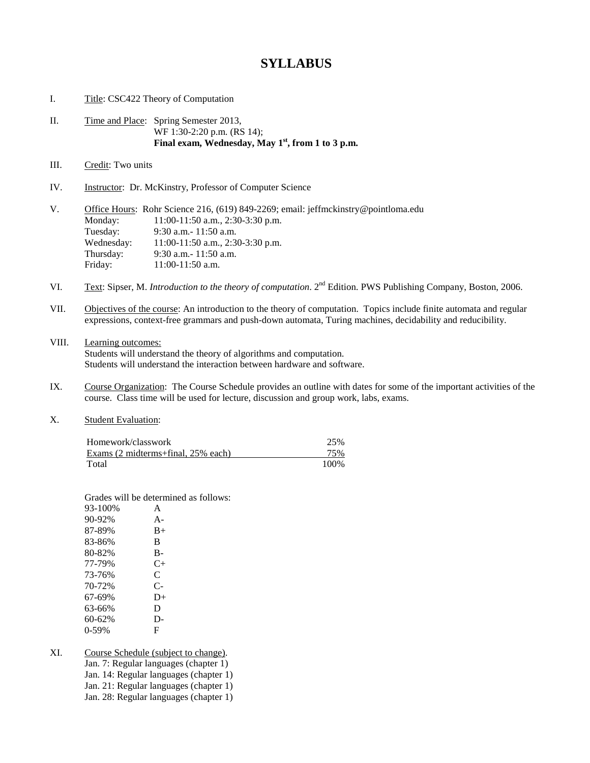## **SYLLABUS**

- I. Title: CSC422 Theory of Computation
- II. Time and Place: Spring Semester 2013, WF 1:30-2:20 p.m. (RS 14); **Final exam, Wednesday, May 1st, from 1 to 3 p.m.**
- III. Credit: Two units
- IV. Instructor: Dr. McKinstry, Professor of Computer Science

| V. |            | Office Hours: Rohr Science 216, $(619)$ 849-2269; email: jeffmckinstry@pointloma.edu |
|----|------------|--------------------------------------------------------------------------------------|
|    | Monday:    | $11:00-11:50$ a.m., 2:30-3:30 p.m.                                                   |
|    | Tuesday:   | $9:30$ a.m. $-11:50$ a.m.                                                            |
|    | Wednesday: | $11:00-11:50$ a.m., 2:30-3:30 p.m.                                                   |
|    | Thursday:  | $9:30$ a.m. $-11:50$ a.m.                                                            |
|    | Friday:    | $11:00-11:50$ a.m.                                                                   |

- VI. Text: Sipser, M. *Introduction to the theory of computation*. 2nd Edition. PWS Publishing Company, Boston, 2006.
- VII. Objectives of the course: An introduction to the theory of computation. Topics include finite automata and regular expressions, context-free grammars and push-down automata, Turing machines, decidability and reducibility.
- VIII. Learning outcomes: Students will understand the theory of algorithms and computation. Students will understand the interaction between hardware and software.
- IX. Course Organization: The Course Schedule provides an outline with dates for some of the important activities of the course. Class time will be used for lecture, discussion and group work, labs, exams.
- X. Student Evaluation:

| Homework/classwork                 | 25%  |
|------------------------------------|------|
| Exams (2 midterms+final, 25% each) | 75%  |
| Total                              | 100% |

Grades will be determined as follows:

| 93-100% | A         |
|---------|-----------|
| 90-92%  | $A -$     |
| 87-89%  | $B+$      |
| 83-86%  | B         |
| 80-82%  | В-        |
| 77-79%  | $C_{\pm}$ |
| 73-76%  | C         |
| 70-72%  | $C-$      |
| 67-69%  | $D+$      |
| 63-66%  | D         |
| 60-62%  | $D-$      |
| 0-59%   | F         |
|         |           |

XI. Course Schedule (subject to change). Jan. 7: Regular languages (chapter 1) Jan. 14: Regular languages (chapter 1) Jan. 21: Regular languages (chapter 1) Jan. 28: Regular languages (chapter 1)